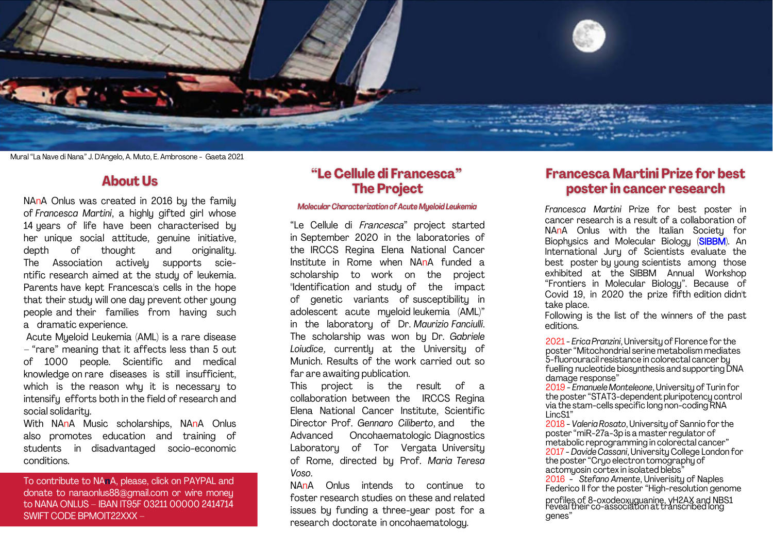

Mural "La Nave di Nana" J. D'Angelo, A. Muto, E. Ambrosone - Gaeta 2021

## **About Us**

NAnA Onlus was created in 2016 by the family of *Francesca Martini*, a highly gifted girl whose 14 years of life have been characterised by her unique social attitude, genuine initiative, depth of thought and originality. The Association actively supports scientific research aimed at the study of leukemia. Parents have kept Francesca's cells in the hope that their studu will one dau prevent other young people and their families from having such a dramatic experience.

Acute Mueloid Leukemia (AML) is a rare disease – "rare" meaning that it affects less than 5 out of 1000 people. Scientific and medical knowledge on rare diseases is still insufficient, which is the reason why it is necessary to intensify efforts both in the field of research and social solidaritu.

With NAnA Music scholarships, NAnA Onlus also promotes education and training of students in disadvantaged socio-economic conditions.

To contribute to NA**n**A, please, click on [PAYPAL](https://www.paypal.com/donate?hosted_button_id=68CK3F5HRB54J) and donate to nanaonlus88@gmail.com or wire money to NANA ONLUS – IBAN IT95F 03211 00000 2414714 SWIFT CODE BPMOIT22XXX –

## "Le Cellule di Francesca" **The Project**

## Molecular Characterization of Acute Myeloid Leukemia

"Le Cellule di Francesca" project started in September 2020 in the laboratories of the IRCCS Regina Elena National Cancer Institute in Rome when NAnA funded a scholarship to work on the project "Identification and study of the impact of genetic variants of susceptibility in adolescent acute myeloid leukemia (AML)" in the laboratory of Dr. *Maurizio Fanciulli*. The scholarship was won by Dr. *Gabriele Loiudice*, currently at the University of Munich. Results of the work carried out so far are awaiting publication.

This project is the result of a collaboration between the IRCCS Regina Elena National Cancer Institute, Scientific Director Prof. *Gennaro Ciliberto*, and the Advanced Oncohaematologic Diagnostics Laboratory of Tor Vergata University of Rome, directed by Prof. *Maria Teresa Voso*.

NAnA Onlus intends to continue to foster research studies on these and related issues by funding a three-year post for a research doctorate in oncohaematology.

## **Francesca Martini Prize for best** poster in cancer research

*Francesca Martini* Prize for best poster in cancer research is a result of a collaboration of NAnA Onlus with the Italian Societu for Biophysics and Molecular Biology (SIBBM). An International Jury of Scientists e[valuate](https://www.sibbm.org/) the best poster by young scientists among those exhibited at the SIBBM Annual Workshop "[Frontiers in Molecular Biology](https://sibbm2021.azuleon.org/)". Because of Covid 19, in 2020 the prize fifth edition didn't take place.

Following is the list of the winners of the past editions.

2021 - *[Erica Pranzini](https://www.nanaonlus.org/wp-content/uploads/2019/06/20191205_102122-scaled-e1623949631804.jpeg)*[,](https://www.nanaonlus.org/wp-content/uploads/2019/06/my_photo.jpg) University of Florence for the p[oster "Mitochondrial serine metabolism mediates](https://www.nanaonlus.org/wp-content/uploads/2021/06/Pranzini-Erica-poster.pdf)  5-fluorouracil resistance in colorectal cancer by fuelling nucleotide biosynthesis and supporting DNA damage response"

2019 - *[Emanuele Monteleone](https://www.nanaonlus.org/wp-content/uploads/2019/06/my_photo.jpg)*, University of Turin for th[e poster "STAT3-dependent pluripotency contro](https://www.nanaonlus.org/wp-content/uploads/2019/06/62450552_2308482925915495_70772698736754688_n.jpg)l via the stam-cells specific long non-coding RNA LincS1"

2018 - *Valeria Rosato*, University of Sannio for the poster "miR-27a-3p is a master regulator of m[etabolic reprogramming in colorectal cancer"](https://www.nanaonlus.org/wp-content/uploads/2018/07/Poster-Rosato-Valeria.pdf) 2017 - *Davide Cassani*, University College London for the poster "Cryo electron tomography of actomyosin cortex in isolated blebs<sup>3</sup>

2016 - *Stefano Amente*, Univerisity of Naples Federico II for the poster "High-resolution genome

profiles of 8-oxodeoxyguanine, γH2AX and NBS1 re[veal their co-association at transcribed long](https://www.nanaonlus.org/wp-content/uploads/2018/07/Poster-SIBBM-2016.pdf)  genes"